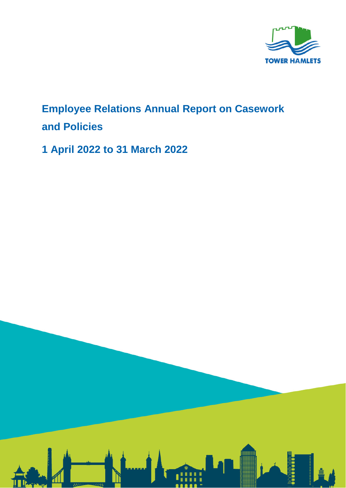

## **Employee Relations Annual Report on Casework and Policies**

**1 April 2022 to 31 March 2022**

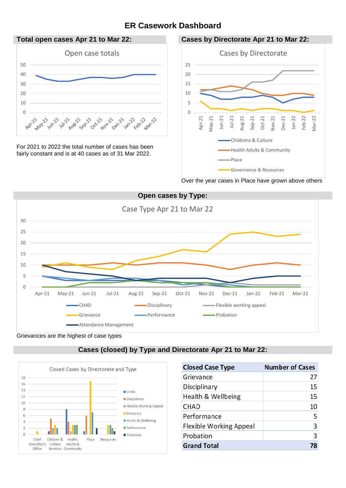## **ER Casework Dashboard**



For 2021 to 2022 the total number of cases has been fairly constant and is at 40 cases as of 31 Mar 2022.



Over the year cases in Place have grown above others



Grievances are the highest of case types





| <b>Closed Case Type</b>        | <b>Number of Cases</b> |
|--------------------------------|------------------------|
| Grievance                      | 27                     |
| Disciplinary                   | 15                     |
| Health & Wellbeing             | 15                     |
| CHAD                           | 10                     |
| Performance                    | 5                      |
| <b>Flexible Working Appeal</b> | 3                      |
| Probation                      | $\overline{3}$         |
| <b>Grand Total</b>             |                        |